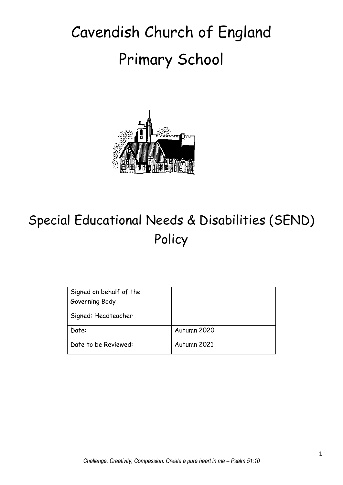# Cavendish Church of England Primary School



## Special Educational Needs & Disabilities (SEND) Policy

| Signed on behalf of the<br>Governing Body |             |
|-------------------------------------------|-------------|
| Signed: Headteacher                       |             |
| Date:                                     | Autumn 2020 |
| Date to be Reviewed:                      | Autumn 2021 |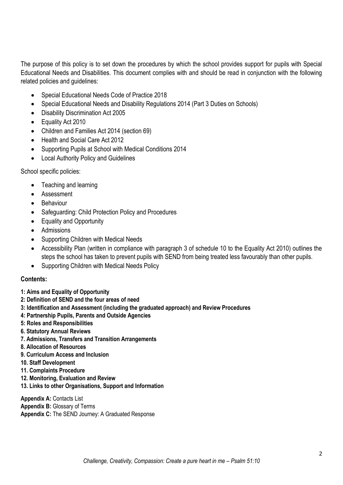The purpose of this policy is to set down the procedures by which the school provides support for pupils with Special Educational Needs and Disabilities. This document complies with and should be read in conjunction with the following related policies and guidelines:

- Special Educational Needs Code of Practice 2018
- Special Educational Needs and Disability Regulations 2014 (Part 3 Duties on Schools)
- Disability Discrimination Act 2005
- Equality Act 2010
- Children and Families Act 2014 (section 69)
- Health and Social Care Act 2012
- Supporting Pupils at School with Medical Conditions 2014
- Local Authority Policy and Guidelines

School specific policies:

- Teaching and learning
- **•** Assessment
- Behaviour
- Safeguarding: Child Protection Policy and Procedures
- Equality and Opportunity
- Admissions
- Supporting Children with Medical Needs
- Accessibility Plan (written in compliance with paragraph 3 of schedule 10 to the Equality Act 2010) outlines the steps the school has taken to prevent pupils with SEND from being treated less favourably than other pupils.
- Supporting Children with Medical Needs Policy

#### **Contents:**

- **1: Aims and Equality of Opportunity**
- **2: Definition of SEND and the four areas of need**
- **3: Identification and Assessment (including the graduated approach) and Review Procedures**
- **4: Partnership Pupils, Parents and Outside Agencies**
- **5: Roles and Responsibilities**
- **6. Statutory Annual Reviews**
- **7. Admissions, Transfers and Transition Arrangements**
- **8. Allocation of Resources**
- **9. Curriculum Access and Inclusion**
- **10. Staff Development**
- **11. Complaints Procedure**
- **12. Monitoring, Evaluation and Review**
- **13. Links to other Organisations, Support and Information**

**Appendix A: Contacts List Appendix B:** Glossary of Terms **Appendix C:** The SEND Journey: A Graduated Response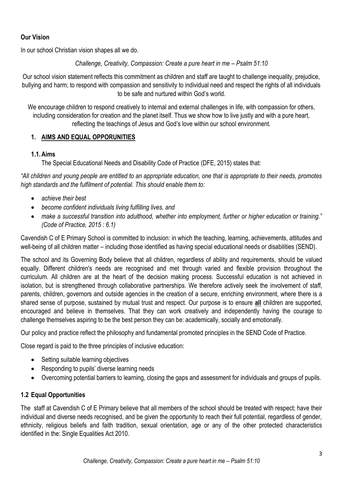#### **Our Vision**

In our school Christian vision shapes all we do.

*Challenge, Creativity, Compassion: Create a pure heart in me – Psalm 51:10* 

Our school vision statement reflects this commitment as children and staff are taught to challenge inequality, prejudice, bullying and harm; to respond with compassion and sensitivity to individual need and respect the rights of all individuals to be safe and nurtured within God's world.

We encourage children to respond creatively to internal and external challenges in life, with compassion for others, including consideration for creation and the planet itself. Thus we show how to live justly and with a pure heart, reflecting the teachings of Jesus and God's love within our school environment.

#### **1. AIMS AND EQUAL OPPORUNITIES**

#### **1.1.Aims**

The Special Educational Needs and Disability Code of Practice (DFE, 2015) states that:

*"All children and young people are entitled to an appropriate education, one that is appropriate to their needs, promotes high standards and the fulfilment of potential. This should enable them to:*

- *achieve their best*
- *become confident individuals living fulfilling lives, and*
- *make a successful transition into adulthood, whether into employment, further or higher education or training." (Code of Practice, 2015 : 6.1)*

Cavendish C of E Primary School is committed to inclusion: in which the teaching, learning, achievements, attitudes and well-being of all children matter – including those identified as having special educational needs or disabilities (SEND).

The school and its Governing Body believe that all children, regardless of ability and requirements, should be valued equally. Different children's needs are recognised and met through varied and flexible provision throughout the curriculum. All children are at the heart of the decision making process. Successful education is not achieved in isolation, but is strengthened through collaborative partnerships. We therefore actively seek the involvement of staff, parents, children, governors and outside agencies in the creation of a secure, enriching environment, where there is a shared sense of purpose, sustained by mutual trust and respect. Our purpose is to ensure **all** children are supported, encouraged and believe in themselves. That they can work creatively and independently having the courage to challenge themselves aspiring to be the best person they can be: academically, socially and emotionally.

Our policy and practice reflect the philosophy and fundamental promoted principles in the SEND Code of Practice.

Close regard is paid to the three principles of inclusive education:

- Setting suitable learning objectives
- Responding to pupils' diverse learning needs
- Overcoming potential barriers to learning, closing the gaps and assessment for individuals and groups of pupils.

#### **1.2 Equal Opportunities**

The staff at Cavendish C of E Primary believe that all members of the school should be treated with respect; have their individual and diverse needs recognised, and be given the opportunity to reach their full potential, regardless of gender, ethnicity, religious beliefs and faith tradition, sexual orientation, age or any of the other protected characteristics identified in the: Single Equalities Act 2010.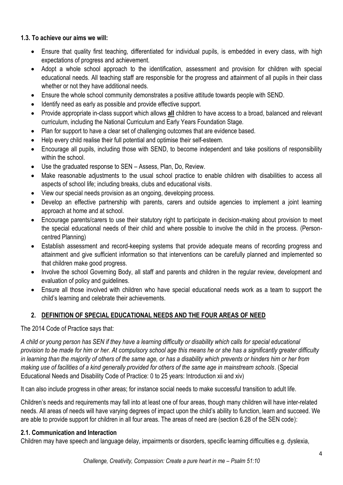#### **1.3. To achieve our aims we will:**

- Ensure that quality first teaching, differentiated for individual pupils, is embedded in every class, with high expectations of progress and achievement.
- Adopt a whole school approach to the identification, assessment and provision for children with special educational needs. All teaching staff are responsible for the progress and attainment of all pupils in their class whether or not they have additional needs.
- Ensure the whole school community demonstrates a positive attitude towards people with SEND.
- Identify need as early as possible and provide effective support.
- Provide appropriate in-class support which allows **all** children to have access to a broad, balanced and relevant curriculum, including the National Curriculum and Early Years Foundation Stage.
- Plan for support to have a clear set of challenging outcomes that are evidence based.
- Help every child realise their full potential and optimise their self-esteem.
- Encourage all pupils, including those with SEND, to become independent and take positions of responsibility within the school
- Use the graduated response to SEN Assess, Plan, Do, Review.
- Make reasonable adjustments to the usual school practice to enable children with disabilities to access all aspects of school life; including breaks, clubs and educational visits.
- View our special needs provision as an ongoing, developing process.
- Develop an effective partnership with parents, carers and outside agencies to implement a joint learning approach at home and at school.
- Encourage parents/carers to use their statutory right to participate in decision-making about provision to meet the special educational needs of their child and where possible to involve the child in the process. (Personcentred Planning)
- Establish assessment and record-keeping systems that provide adequate means of recording progress and attainment and give sufficient information so that interventions can be carefully planned and implemented so that children make good progress.
- Involve the school Governing Body, all staff and parents and children in the regular review, development and evaluation of policy and guidelines.
- Ensure all those involved with children who have special educational needs work as a team to support the child's learning and celebrate their achievements.

## **2. DEFINITION OF SPECIAL EDUCATIONAL NEEDS AND THE FOUR AREAS OF NEED**

#### The 2014 Code of Practice says that:

*A child or young person has SEN if they have a learning difficulty or disability which calls for special educational provision to be made for him or her. At compulsory school age this means he or she has a significantly greater difficulty in learning than the majority of others of the same age, or has a disability which prevents or hinders him or her from making use of facilities of a kind generally provided for others of the same age in mainstream schools*. (Special Educational Needs and Disability Code of Practice: 0 to 25 years: Introduction xii and xiv)

It can also include progress in other areas; for instance social needs to make successful transition to adult life.

Children's needs and requirements may fall into at least one of four areas, though many children will have inter-related needs. All areas of needs will have varying degrees of impact upon the child's ability to function, learn and succeed. We are able to provide support for children in all four areas. The areas of need are (section 6.28 of the SEN code):

#### **2.1. Communication and Interaction**

Children may have speech and language delay, impairments or disorders, specific learning difficulties e.g. dyslexia,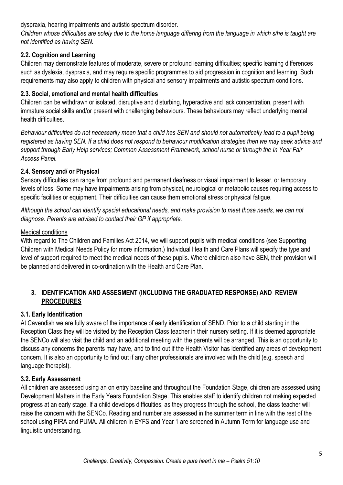dyspraxia, hearing impairments and autistic spectrum disorder.

*Children whose difficulties are solely due to the home language differing from the language in which s/he is taught are not identified as having SEN.*

#### **2.2. Cognition and Learning**

Children may demonstrate features of moderate, severe or profound learning difficulties; specific learning differences such as dyslexia, dyspraxia, and may require specific programmes to aid progression in cognition and learning. Such requirements may also apply to children with physical and sensory impairments and autistic spectrum conditions.

#### **2.3. Social, emotional and mental health difficulties**

Children can be withdrawn or isolated, disruptive and disturbing, hyperactive and lack concentration, present with immature social skills and/or present with challenging behaviours. These behaviours may reflect underlying mental health difficulties.

*Behaviour difficulties do not necessarily mean that a child has SEN and should not automatically lead to a pupil being registered as having SEN. If a child does not respond to behaviour modification strategies then we may seek advice and support through Early Help services; Common Assessment Framework, school nurse or through the In Year Fair Access Panel.*

#### **2.4. Sensory and/ or Physical**

Sensory difficulties can range from profound and permanent deafness or visual impairment to lesser, or temporary levels of loss. Some may have impairments arising from physical, neurological or metabolic causes requiring access to specific facilities or equipment. Their difficulties can cause them emotional stress or physical fatigue.

*Although the school can identify special educational needs, and make provision to meet those needs, we can not diagnose. Parents are advised to contact their GP if appropriate.*

#### Medical conditions

With regard to The Children and Families Act 2014, we will support pupils with medical conditions (see Supporting Children with Medical Needs Policy for more information.) Individual Health and Care Plans will specify the type and level of support required to meet the medical needs of these pupils. Where children also have SEN, their provision will be planned and delivered in co-ordination with the Health and Care Plan.

#### **3. IDENTIFICATION AND ASSESMENT (INCLUDING THE GRADUATED RESPONSE) AND REVIEW PROCEDURES**

## **3.1. Early Identification**

At Cavendish we are fully aware of the importance of early identification of SEND. Prior to a child starting in the Reception Class they will be visited by the Reception Class teacher in their nursery setting. If it is deemed appropriate the SENCo will also visit the child and an additional meeting with the parents will be arranged. This is an opportunity to discuss any concerns the parents may have, and to find out if the Health Visitor has identified any areas of development concern. It is also an opportunity to find out if any other professionals are involved with the child (e.g. speech and language therapist).

## **3.2. Early Assessment**

All children are assessed using an on entry baseline and throughout the Foundation Stage, children are assessed using Development Matters in the Early Years Foundation Stage. This enables staff to identify children not making expected progress at an early stage. If a child develops difficulties, as they progress through the school, the class teacher will raise the concern with the SENCo. Reading and number are assessed in the summer term in line with the rest of the school using PIRA and PUMA. All children in EYFS and Year 1 are screened in Autumn Term for language use and linguistic understanding.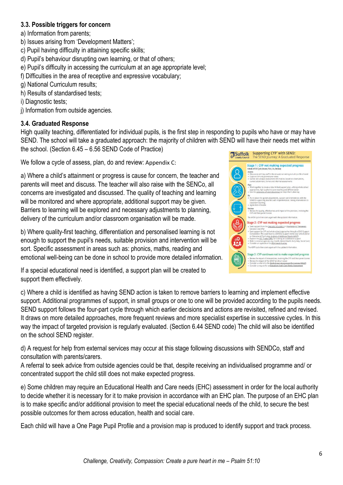#### **3.3. Possible triggers for concern**

a) Information from parents;

- b) Issues arising from 'Development Matters';
- c) Pupil having difficulty in attaining specific skills;
- d) Pupil's behaviour disrupting own learning, or that of others;
- e) Pupil's difficulty in accessing the curriculum at an age appropriate level;
- f) Difficulties in the area of receptive and expressive vocabulary;
- g) National Curriculum results;
- h) Results of standardised tests;
- i) Diagnostic tests;
- j) Information from outside agencies.

#### **3.4. Graduated Response**

High quality teaching, differentiated for individual pupils, is the first step in responding to pupils who have or may have SEND. The school will take a graduated approach: the majority of children with SEND will have their needs met within the school. (Section 6.45 – 6.56 SEND Code of Practice)

We follow a cycle of assess, plan, do and review: Appendix C:

a) Where a child's attainment or progress is cause for concern, the teacher and parents will meet and discuss. The teacher will also raise with the SENCo, all concerns are investigated and discussed. The quality of teaching and learning will be monitored and where appropriate, additional support may be given. Barriers to learning will be explored and necessary adjustments to planning, delivery of the curriculum and/or classroom organisation will be made.

b) Where quality-first teaching, differentiation and personalised learning is not enough to support the pupil's needs, suitable provision and intervention will be sort. Specific assessment in areas such as: phonics, maths, reading and emotional well-being can be done in school to provide more detailed information.

If a special educational need is identified, a support plan will be created to support them effectively.



c) Where a child is identified as having SEND action is taken to remove barriers to learning and implement effective support. Additional programmes of support, in small groups or one to one will be provided according to the pupils needs. SEND support follows the four-part cycle through which earlier decisions and actions are revisited, refined and revised. It draws on more detailed approaches, more frequent reviews and more specialist expertise in successive cycles. In this way the impact of targeted provision is regularly evaluated. (Section 6.44 SEND code) The child will also be identified on the school SEND register.

d) A request for help from external services may occur at this stage following discussions with SENDCo, staff and consultation with parents/carers.

A referral to seek advice from outside agencies could be that, despite receiving an individualised programme and/ or concentrated support the child still does not make expected progress.

e) Some children may require an Educational Health and Care needs (EHC) assessment in order for the local authority to decide whether it is necessary for it to make provision in accordance with an EHC plan. The purpose of an EHC plan is to make specific and/or additional provision to meet the special educational needs of the child, to secure the best possible outcomes for them across education, health and social care.

Each child will have a One Page Pupil Profile and a provision map is produced to identify support and track process.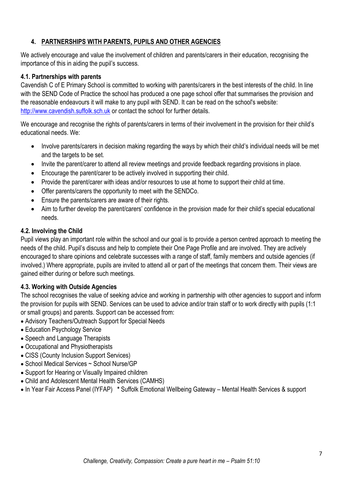## **4. PARTNERSHIPS WITH PARENTS, PUPILS AND OTHER AGENCIES**

We actively encourage and value the involvement of children and parents/carers in their education, recognising the importance of this in aiding the pupil's success.

#### **4.1. Partnerships with parents**

Cavendish C of E Primary School is committed to working with parents/carers in the best interests of the child. In line with the SEND Code of Practice the school has produced a one page school offer that summarises the provision and the reasonable endeavours it will make to any pupil with SEND. It can be read on the school's website: [http://www.cavendish.suffolk.sch.uk](http://www.cavendish.suffolk.sch.uk/) or contact the school for further details.

We encourage and recognise the rights of parents/carers in terms of their involvement in the provision for their child's educational needs. We:

- Involve parents/carers in decision making regarding the ways by which their child's individual needs will be met and the targets to be set.
- Invite the parent/carer to attend all review meetings and provide feedback regarding provisions in place.
- Encourage the parent/carer to be actively involved in supporting their child.
- Provide the parent/carer with ideas and/or resources to use at home to support their child at time.
- Offer parents/carers the opportunity to meet with the SENDCo.
- Ensure the parents/carers are aware of their rights.
- Aim to further develop the parent/carers' confidence in the provision made for their child's special educational needs.

#### **4.2. Involving the Child**

Pupil views play an important role within the school and our goal is to provide a person centred approach to meeting the needs of the child. Pupil's discuss and help to complete their One Page Profile and are involved. They are actively encouraged to share opinions and celebrate successes with a range of staff, family members and outside agencies (if involved.) Where appropriate, pupils are invited to attend all or part of the meetings that concern them. Their views are gained either during or before such meetings.

## **4.3. Working with Outside Agencies**

The school recognises the value of seeking advice and working in partnership with other agencies to support and inform the provision for pupils with SEND. Services can be used to advice and/or train staff or to work directly with pupils (1:1 or small groups) and parents. Support can be accessed from:

- Advisory Teachers/Outreach Support for Special Needs
- Education Psychology Service
- Speech and Language Therapists
- Occupational and Physiotherapists
- CISS (County Inclusion Support Services)
- School Medical Services ~ School Nurse/GP
- Support for Hearing or Visually Impaired children
- Child and Adolescent Mental Health Services (CAMHS)
- In Year Fair Access Panel (IYFAP) **\*** Suffolk Emotional Wellbeing Gateway Mental Health Services & support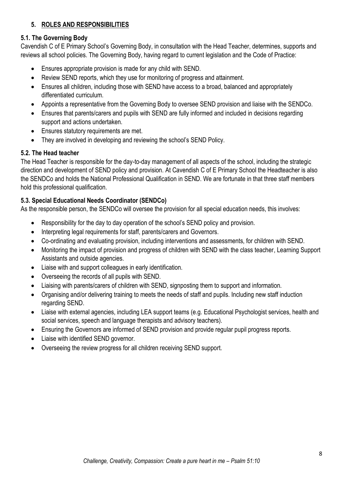## **5. ROLES AND RESPONSIBILITIES**

## **5.1. The Governing Body**

Cavendish C of E Primary School's Governing Body, in consultation with the Head Teacher, determines, supports and reviews all school policies. The Governing Body, having regard to current legislation and the Code of Practice:

- Ensures appropriate provision is made for any child with SEND.
- Review SEND reports, which they use for monitoring of progress and attainment.
- Ensures all children, including those with SEND have access to a broad, balanced and appropriately differentiated curriculum.
- Appoints a representative from the Governing Body to oversee SEND provision and liaise with the SENDCo.
- Ensures that parents/carers and pupils with SEND are fully informed and included in decisions regarding support and actions undertaken.
- Ensures statutory requirements are met.
- They are involved in developing and reviewing the school's SEND Policy.

#### **5.2. The Head teacher**

The Head Teacher is responsible for the day-to-day management of all aspects of the school, including the strategic direction and development of SEND policy and provision. At Cavendish C of E Primary School the Headteacher is also the SENDCo and holds the National Professional Qualification in SEND. We are fortunate in that three staff members hold this professional qualification.

## **5.3. Special Educational Needs Coordinator (SENDCo)**

As the responsible person, the SENDCo will oversee the provision for all special education needs, this involves:

- Responsibility for the day to day operation of the school's SEND policy and provision.
- Interpreting legal requirements for staff, parents/carers and Governors.
- Co-ordinating and evaluating provision, including interventions and assessments, for children with SEND.
- Monitoring the impact of provision and progress of children with SEND with the class teacher, Learning Support Assistants and outside agencies.
- Liaise with and support colleagues in early identification.
- Overseeing the records of all pupils with SEND.
- Liaising with parents/carers of children with SEND, signposting them to support and information.
- Organising and/or delivering training to meets the needs of staff and pupils. Including new staff induction regarding SEND.
- Liaise with external agencies, including LEA support teams (e.g. Educational Psychologist services, health and social services, speech and language therapists and advisory teachers).
- Ensuring the Governors are informed of SEND provision and provide regular pupil progress reports.
- Liaise with identified SEND governor.
- Overseeing the review progress for all children receiving SEND support.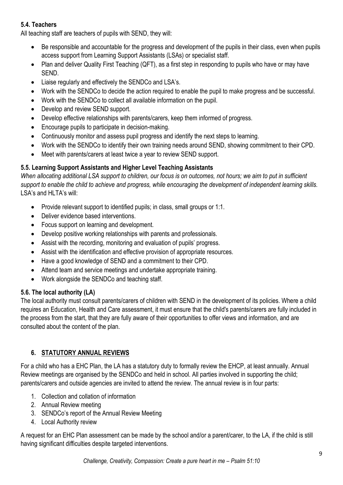#### **5.4. Teachers**

All teaching staff are teachers of pupils with SEND, they will:

- Be responsible and accountable for the progress and development of the pupils in their class, even when pupils access support from Learning Support Assistants (LSAs) or specialist staff.
- Plan and deliver Quality First Teaching (QFT), as a first step in responding to pupils who have or may have SEND.
- Liaise regularly and effectively the SENDCo and LSA's.
- Work with the SENDCo to decide the action required to enable the pupil to make progress and be successful.
- Work with the SENDCo to collect all available information on the pupil.
- Develop and review SEND support.
- Develop effective relationships with parents/carers, keep them informed of progress.
- Encourage pupils to participate in decision-making.
- Continuously monitor and assess pupil progress and identify the next steps to learning.
- Work with the SENDCo to identify their own training needs around SEND, showing commitment to their CPD.
- Meet with parents/carers at least twice a year to review SEND support.

#### **5.5. Learning Support Assistants and Higher Level Teaching Assistants**

*When allocating additional LSA support to children, our focus is on outcomes, not hours; we aim to put in sufficient support to enable the child to achieve and progress, while encouraging the development of independent learning skills.* LSA's and HLTA's will:

- Provide relevant support to identified pupils; in class, small groups or 1:1.
- Deliver evidence based interventions.
- Focus support on learning and development.
- Develop positive working relationships with parents and professionals.
- Assist with the recording, monitoring and evaluation of pupils' progress.
- Assist with the identification and effective provision of appropriate resources.
- Have a good knowledge of SEND and a commitment to their CPD.
- Attend team and service meetings and undertake appropriate training.
- Work alongside the SENDCo and teaching staff.

## **5.6. The local authority (LA)**

The local authority must consult parents/carers of children with SEND in the development of its policies. Where a child requires an Education, Health and Care assessment, it must ensure that the child's parents/carers are fully included in the process from the start, that they are fully aware of their opportunities to offer views and information, and are consulted about the content of the plan.

## **6. STATUTORY ANNUAL REVIEWS**

For a child who has a EHC Plan, the LA has a statutory duty to formally review the EHCP, at least annually. Annual Review meetings are organised by the SENDCo and held in school. All parties involved in supporting the child; parents/carers and outside agencies are invited to attend the review. The annual review is in four parts:

- 1. Collection and collation of information
- 2. Annual Review meeting
- 3. SENDCo's report of the Annual Review Meeting
- 4. Local Authority review

A request for an EHC Plan assessment can be made by the school and/or a parent/carer, to the LA, if the child is still having significant difficulties despite targeted interventions.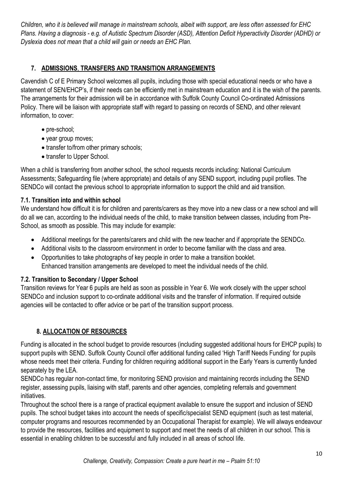*Children, who it is believed will manage in mainstream schools, albeit with support, are less often assessed for EHC Plans. Having a diagnosis - e.g. of Autistic Spectrum Disorder (ASD), Attention Deficit Hyperactivity Disorder (ADHD) or Dyslexia does not mean that a child will gain or needs an EHC Plan.*

## **7. ADMISSIONS**, **TRANSFERS AND TRANSITION ARRANGEMENTS**

Cavendish C of E Primary School welcomes all pupils, including those with special educational needs or who have a statement of SEN/EHCP's, if their needs can be efficiently met in mainstream education and it is the wish of the parents. The arrangements for their admission will be in accordance with Suffolk County Council Co-ordinated Admissions Policy. There will be liaison with appropriate staff with regard to passing on records of SEND, and other relevant information, to cover:

- pre-school;
- year group moves;
- transfer to/from other primary schools;
- transfer to Upper School.

When a child is transferring from another school, the school requests records including: National Curriculum Assessments; Safeguarding file (where appropriate) and details of any SEND support, including pupil profiles. The SENDCo will contact the previous school to appropriate information to support the child and aid transition.

#### **7.1. Transition into and within school**

We understand how difficult it is for children and parents/carers as they move into a new class or a new school and will do all we can, according to the individual needs of the child, to make transition between classes, including from Pre-School, as smooth as possible. This may include for example:

- Additional meetings for the parents/carers and child with the new teacher and if appropriate the SENDCo.
- Additional visits to the classroom environment in order to become familiar with the class and area.
- Opportunities to take photographs of key people in order to make a transition booklet. Enhanced transition arrangements are developed to meet the individual needs of the child.

## **7.2. Transition to Secondary / Upper School**

Transition reviews for Year 6 pupils are held as soon as possible in Year 6. We work closely with the upper school SENDCo and inclusion support to co-ordinate additional visits and the transfer of information. If required outside agencies will be contacted to offer advice or be part of the transition support process.

## **8. ALLOCATION OF RESOURCES**

Funding is allocated in the school budget to provide resources (including suggested additional hours for EHCP pupils) to support pupils with SEND. Suffolk County Council offer additional funding called 'High Tariff Needs Funding' for pupils whose needs meet their criteria. Funding for children requiring additional support in the Early Years is currently funded separately by the LEA.

SENDCo has regular non-contact time, for monitoring SEND provision and maintaining records including the SEND register, assessing pupils, liaising with staff, parents and other agencies, completing referrals and government initiatives.

Throughout the school there is a range of practical equipment available to ensure the support and inclusion of SEND pupils. The school budget takes into account the needs of specific/specialist SEND equipment (such as test material, computer programs and resources recommended by an Occupational Therapist for example). We will always endeavour to provide the resources, facilities and equipment to support and meet the needs of all children in our school. This is essential in enabling children to be successful and fully included in all areas of school life.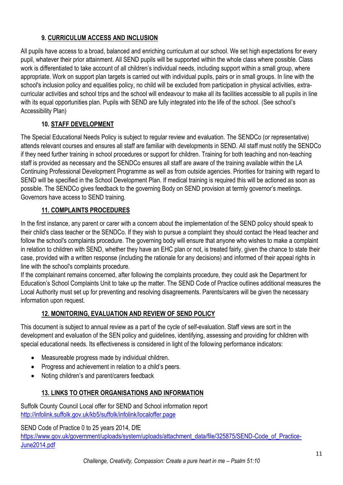## **9. CURRICULUM ACCESS AND INCLUSION**

All pupils have access to a broad, balanced and enriching curriculum at our school. We set high expectations for every pupil, whatever their prior attainment. All SEND pupils will be supported within the whole class where possible. Class work is differentiated to take account of all children's individual needs, including support within a small group, where appropriate. Work on support plan targets is carried out with individual pupils, pairs or in small groups. In line with the school's inclusion policy and equalities policy, no child will be excluded from participation in physical activities, extracurricular activities and school trips and the school will endeavour to make all its facilities accessible to all pupils in line with its equal opportunities plan. Pupils with SEND are fully integrated into the life of the school. (See school's Accessibility Plan)

## **10. STAFF DEVELOPMENT**

The Special Educational Needs Policy is subject to regular review and evaluation. The SENDCo (or representative) attends relevant courses and ensures all staff are familiar with developments in SEND. All staff must notify the SENDCo if they need further training in school procedures or support for children. Training for both teaching and non-teaching staff is provided as necessary and the SENDCo ensures all staff are aware of the training available within the LA Continuing Professional Development Programme as well as from outside agencies. Priorities for training with regard to SEND will be specified in the School Development Plan. If medical training is required this will be actioned as soon as possible. The SENDCo gives feedback to the governing Body on SEND provision at termly governor's meetings. Governors have access to SEND training.

## **11. COMPLAINTS PROCEDURES**

In the first instance, any parent or carer with a concern about the implementation of the SEND policy should speak to their child's class teacher or the SENDCo. If they wish to pursue a complaint they should contact the Head teacher and follow the school's complaints procedure. The governing body will ensure that anyone who wishes to make a complaint in relation to children with SEND, whether they have an EHC plan or not, is treated fairly, given the chance to state their case, provided with a written response (including the rationale for any decisions) and informed of their appeal rights in line with the school's complaints procedure.

If the complainant remains concerned, after following the complaints procedure, they could ask the Department for Education's School Complaints Unit to take up the matter. The SEND Code of Practice outlines additional measures the Local Authority must set up for preventing and resolving disagreements. Parents/carers will be given the necessary information upon request.

## **12. MONITORING, EVALUATION AND REVIEW OF SEND POLICY**

This document is subject to annual review as a part of the cycle of self-evaluation. Staff views are sort in the development and evaluation of the SEN policy and guidelines, identifying, assessing and providing for children with special educational needs. Its effectiveness is considered in light of the following performance indicators:

- Measureable progress made by individual children.
- Progress and achievement in relation to a child's peers.
- Noting children's and parent/carers feedback

## **13. LINKS TO OTHER ORGANISATIONS AND INFORMATION**

Suffolk County Council Local offer for SEND and School information report <http://infolink.suffolk.gov.uk/kb5/suffolk/infolink/localoffer.page>

SEND Code of Practice 0 to 25 years 2014, DfE

[https://www.gov.uk/government/uploads/system/uploads/attachment\\_data/file/325875/SEND-Code\\_of\\_Practice-](https://www.gov.uk/government/uploads/system/uploads/attachment_data/file/325875/SEND-Code_of_Practice-June2014.pdf)[June2014.pdf](https://www.gov.uk/government/uploads/system/uploads/attachment_data/file/325875/SEND-Code_of_Practice-June2014.pdf)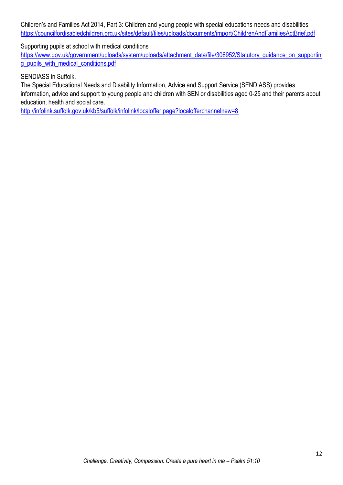Children's and Families Act 2014, Part 3: Children and young people with special educations needs and disabilities <https://councilfordisabledchildren.org.uk/sites/default/files/uploads/documents/import/ChildrenAndFamiliesActBrief.pdf>

Supporting pupils at school with medical conditions

[https://www.gov.uk/government/uploads/system/uploads/attachment\\_data/file/306952/Statutory\\_guidance\\_on\\_supportin](https://www.gov.uk/government/uploads/system/uploads/attachment_data/file/306952/Statutory_guidance_on_supporting_pupils_with_medical_conditions.pdf) [g\\_pupils\\_with\\_medical\\_conditions.pdf](https://www.gov.uk/government/uploads/system/uploads/attachment_data/file/306952/Statutory_guidance_on_supporting_pupils_with_medical_conditions.pdf)

SENDIASS in Suffolk.

The Special Educational Needs and Disability Information, Advice and Support Service (SENDIASS) provides information, advice and support to young people and children with SEN or disabilities aged 0-25 and their parents about education, health and social care.

<http://infolink.suffolk.gov.uk/kb5/suffolk/infolink/localoffer.page?localofferchannelnew=8>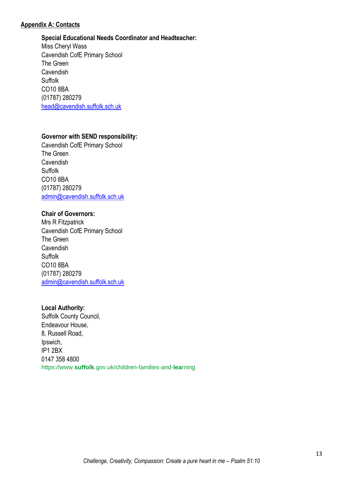#### **Appendix A: Contacts**

#### **Special Educational Needs Coordinator and Headteacher:**

Miss Cheryl Wass Cavendish CofE Primary School The Green **Cavendish** Suffolk CO10 8BA (01787) 280279 [head@cavendish.suffolk.sch.uk](mailto:head@cavendish.suffolk.sch.uk)

#### **Governor with SEND responsibility:**

Cavendish CofE Primary School The Green Cavendish Suffolk CO10 8BA (01787) 280279 [admin@cavendish.suffolk.sch.uk](mailto:admin@cavendish.suffolk.sch.uk)

#### **Chair of Governors:**

Mrs R Fitzpatrick Cavendish CofE Primary School The Green Cavendish Suffolk CO10 8BA (01787) 280279 [admin@cavendish.suffolk.sch.uk](mailto:admin@cavendish.suffolk.sch.uk)

#### **Local Authority:**

Suffolk County Council, Endeavour House, 8, Russell Road, Ipswich, IP1 2BX 0147 358 4800 https://www.**suffolk**.gov.uk/children-families-and-**lea**rning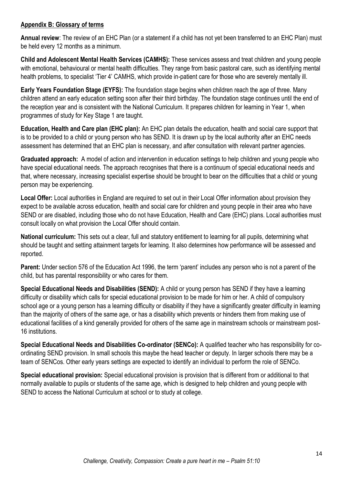#### **Appendix B: Glossary of terms**

**Annual review**: The review of an EHC Plan (or a statement if a child has not yet been transferred to an EHC Plan) must be held every 12 months as a minimum.

**Child and Adolescent Mental Health Services (CAMHS):** These services assess and treat children and young people with emotional, behavioural or mental health difficulties. They range from basic pastoral care, such as identifying mental health problems, to specialist 'Tier 4' CAMHS, which provide in-patient care for those who are severely mentally ill.

**Early Years Foundation Stage (EYFS):** The foundation stage begins when children reach the age of three. Many children attend an early education setting soon after their third birthday. The foundation stage continues until the end of the reception year and is consistent with the National Curriculum. It prepares children for learning in Year 1, when programmes of study for Key Stage 1 are taught.

**Education, Health and Care plan (EHC plan):** An EHC plan details the education, health and social care support that is to be provided to a child or young person who has SEND. It is drawn up by the local authority after an EHC needs assessment has determined that an EHC plan is necessary, and after consultation with relevant partner agencies.

**Graduated approach:** A model of action and intervention in education settings to help children and young people who have special educational needs. The approach recognises that there is a continuum of special educational needs and that, where necessary, increasing specialist expertise should be brought to bear on the difficulties that a child or young person may be experiencing.

**Local Offer:** Local authorities in England are required to set out in their Local Offer information about provision they expect to be available across education, health and social care for children and young people in their area who have SEND or are disabled, including those who do not have Education, Health and Care (EHC) plans. Local authorities must consult locally on what provision the Local Offer should contain.

**National curriculum:** This sets out a clear, full and statutory entitlement to learning for all pupils, determining what should be taught and setting attainment targets for learning. It also determines how performance will be assessed and reported.

**Parent:** Under section 576 of the Education Act 1996, the term 'parent' includes any person who is not a parent of the child, but has parental responsibility or who cares for them.

**Special Educational Needs and Disabilities (SEND):** A child or young person has SEND if they have a learning difficulty or disability which calls for special educational provision to be made for him or her. A child of compulsory school age or a young person has a learning difficulty or disability if they have a significantly greater difficulty in learning than the majority of others of the same age, or has a disability which prevents or hinders them from making use of educational facilities of a kind generally provided for others of the same age in mainstream schools or mainstream post-16 institutions.

**Special Educational Needs and Disabilities Co-ordinator (SENCo):** A qualified teacher who has responsibility for coordinating SEND provision. In small schools this maybe the head teacher or deputy. In larger schools there may be a team of SENCos. Other early years settings are expected to identify an individual to perform the role of SENCo.

**Special educational provision:** Special educational provision is provision that is different from or additional to that normally available to pupils or students of the same age, which is designed to help children and young people with SEND to access the National Curriculum at school or to study at college.